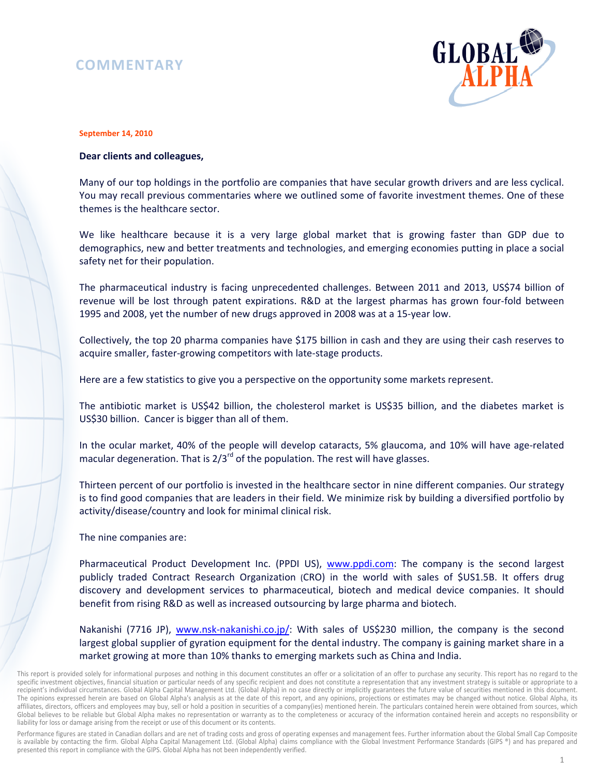## **COMMENTARY**



## **September 14, 2010**

## **Dear clients and colleagues,**

Many of our top holdings in the portfolio are companies that have secular growth drivers and are less cyclical. You may recall previous commentaries where we outlined some of favorite investment themes. One of these themes is the healthcare sector.

We like healthcare because it is a very large global market that is growing faster than GDP due to demographics, new and better treatments and technologies, and emerging economies putting in place a social safety net for their population.

The pharmaceutical industry is facing unprecedented challenges. Between 2011 and 2013, US\$74 billion of revenue will be lost through patent expirations. R&D at the largest pharmas has grown four-fold between 1995 and 2008, yet the number of new drugs approved in 2008 was at a 15-year low.

Collectively, the top 20 pharma companies have \$175 billion in cash and they are using their cash reserves to acquire smaller, faster-growing competitors with late-stage products.

Here are a few statistics to give you a perspective on the opportunity some markets represent.

The antibiotic market is US\$42 billion, the cholesterol market is US\$35 billion, and the diabetes market is US\$30 billion. Cancer is bigger than all of them.

In the ocular market, 40% of the people will develop cataracts, 5% glaucoma, and 10% will have age-related macular degeneration. That is  $2/3^{rd}$  of the population. The rest will have glasses.

Thirteen percent of our portfolio is invested in the healthcare sector in nine different companies. Our strategy is to find good companies that are leaders in their field. We minimize risk by building a diversified portfolio by activity/disease/country and look for minimal clinical risk.

The nine companies are:

Pharmaceutical Product Development Inc. (PPDI US), www.ppdi.com: The company is the second largest publicly traded Contract Research Organization (CRO) in the world with sales of \$US1.5B. It offers drug discovery and development services to pharmaceutical, biotech and medical device companies. It should benefit from rising R&D as well as increased outsourcing by large pharma and biotech.

Nakanishi (7716 JP), www.nsk-nakanishi.co.jp/: With sales of US\$230 million, the company is the second largest global supplier of gyration equipment for the dental industry. The company is gaining market share in a market growing at more than 10% thanks to emerging markets such as China and India.

Performance figures are stated in Canadian dollars and are net of trading costs and gross of operating expenses and management fees. Further information about the Global Small Cap Composite is available by contacting the firm. Global Alpha Capital Management Ltd. (Global Alpha) claims compliance with the Global Investment Performance Standards (GIPS ®) and has prepared and presented this report in compliance with the GIPS. Global Alpha has not been independently verified.

This report is provided solely for informational purposes and nothing in this document constitutes an offer or a solicitation of an offer to purchase any security. This report has no regard to the specific investment objectives, financial situation or particular needs of any specific recipient and does not constitute a representation that any investment strategy is suitable or appropriate to a recipient's individual circumstances. Global Alpha Capital Management Ltd. (Global Alpha) in no case directly or implicitly guarantees the future value of securities mentioned in this document. The opinions expressed herein are based on Global Alpha's analysis as at the date of this report, and any opinions, projections or estimates may be changed without notice. Global Alpha, its affiliates, directors, officers and employees may buy, sell or hold a position in securities of a company(ies) mentioned herein. The particulars contained herein were obtained from sources, which Global believes to be reliable but Global Alpha makes no representation or warranty as to the completeness or accuracy of the information contained herein and accepts no responsibility or liability for loss or damage arising from the receipt or use of this document or its contents.